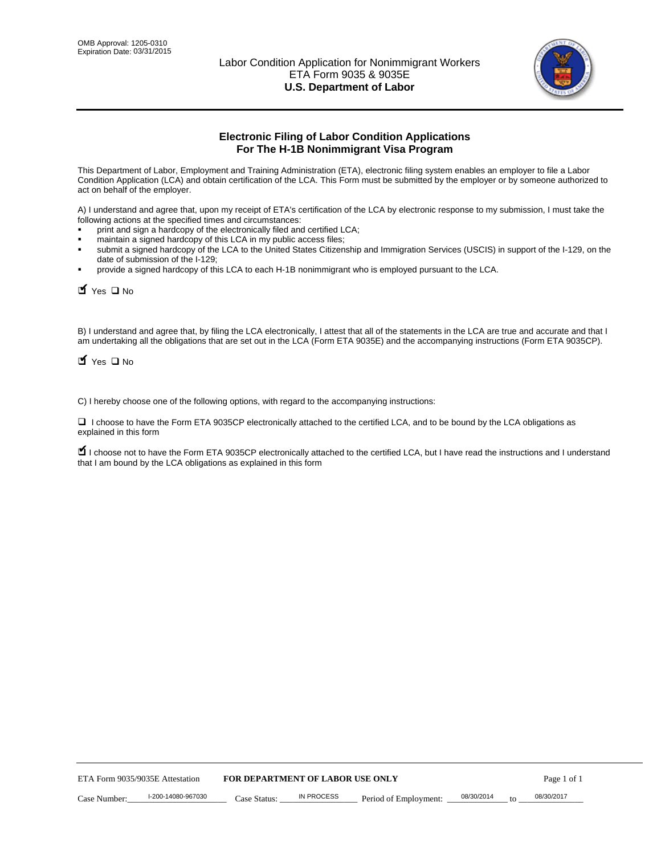

# **Electronic Filing of Labor Condition Applications For The H-1B Nonimmigrant Visa Program**

This Department of Labor, Employment and Training Administration (ETA), electronic filing system enables an employer to file a Labor Condition Application (LCA) and obtain certification of the LCA. This Form must be submitted by the employer or by someone authorized to act on behalf of the employer.

A) I understand and agree that, upon my receipt of ETA's certification of the LCA by electronic response to my submission, I must take the following actions at the specified times and circumstances:

- print and sign a hardcopy of the electronically filed and certified LCA;
- maintain a signed hardcopy of this LCA in my public access files;
- submit a signed hardcopy of the LCA to the United States Citizenship and Immigration Services (USCIS) in support of the I-129, on the date of submission of the I-129;
- provide a signed hardcopy of this LCA to each H-1B nonimmigrant who is employed pursuant to the LCA.

| Yes O No                                                                                                                                                                                                                                                                                                              |              |                                  |                       |            |                  |
|-----------------------------------------------------------------------------------------------------------------------------------------------------------------------------------------------------------------------------------------------------------------------------------------------------------------------|--------------|----------------------------------|-----------------------|------------|------------------|
| B) I understand and agree that, by filing the LCA electronically, I attest that all of the statements in the LCA are true and accurate and th<br>am undertaking all the obligations that are set out in the LCA (Form ETA 9035E) and the accompanying instructions (Form ETA 9035C<br>$\blacksquare$ Yes $\square$ No |              |                                  |                       |            |                  |
| C) I hereby choose one of the following options, with regard to the accompanying instructions:                                                                                                                                                                                                                        |              |                                  |                       |            |                  |
| □ I choose to have the Form ETA 9035CP electronically attached to the certified LCA, and to be bound by the LCA obligations as<br>explained in this form                                                                                                                                                              |              |                                  |                       |            |                  |
| I choose not to have the Form ETA 9035CP electronically attached to the certified LCA, but I have read the instructions and I unders<br>that I am bound by the LCA obligations as explained in this form                                                                                                              |              |                                  |                       |            |                  |
|                                                                                                                                                                                                                                                                                                                       |              |                                  |                       |            |                  |
|                                                                                                                                                                                                                                                                                                                       |              |                                  |                       |            |                  |
|                                                                                                                                                                                                                                                                                                                       |              |                                  |                       |            |                  |
|                                                                                                                                                                                                                                                                                                                       |              |                                  |                       |            |                  |
|                                                                                                                                                                                                                                                                                                                       |              |                                  |                       |            |                  |
|                                                                                                                                                                                                                                                                                                                       |              |                                  |                       |            |                  |
|                                                                                                                                                                                                                                                                                                                       |              |                                  |                       |            |                  |
|                                                                                                                                                                                                                                                                                                                       |              |                                  |                       |            |                  |
|                                                                                                                                                                                                                                                                                                                       |              |                                  |                       |            |                  |
|                                                                                                                                                                                                                                                                                                                       |              |                                  |                       |            |                  |
| ETA Form 9035/9035E Attestation                                                                                                                                                                                                                                                                                       |              | FOR DEPARTMENT OF LABOR USE ONLY |                       |            | Page 1 of 1      |
| I-200-14080-967030<br>Case Number:                                                                                                                                                                                                                                                                                    | Case Status: | <b>IN PROCESS</b>                | Period of Employment: | 08/30/2014 | 08/30/2017<br>to |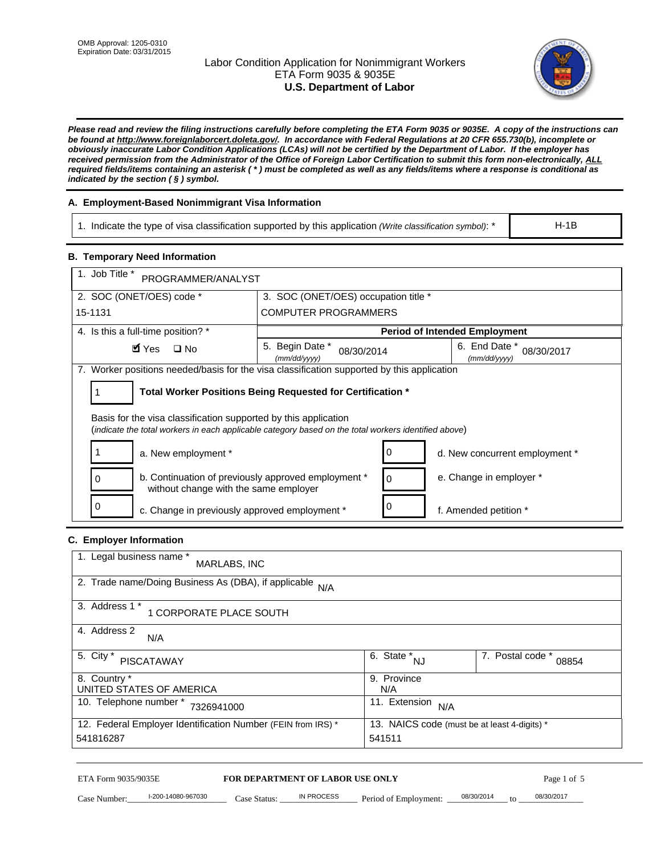# Labor Condition Application for Nonimmigrant Workers ETA Form 9035 & 9035E **U.S. Department of Labor**



*Please read and review the filing instructions carefully before completing the ETA Form 9035 or 9035E. A copy of the instructions can be found at http://www.foreignlaborcert.doleta.gov/. In accordance with Federal Regulations at 20 CFR 655.730(b), incomplete or obviously inaccurate Labor Condition Applications (LCAs) will not be certified by the Department of Labor. If the employer has received permission from the Administrator of the Office of Foreign Labor Certification to submit this form non-electronically, ALL required fields/items containing an asterisk ( \* ) must be completed as well as any fields/items where a response is conditional as indicated by the section ( § ) symbol.* 

# **A. Employment-Based Nonimmigrant Visa Information**

1. Indicate the type of visa classification supported by this application *(Write classification symbol)*: \*

## **B. Temporary Need Information**

| 1. Indicate the type of visa classification supported by this application (Write classification symbol): *                                                              |                                                |                                                 |                                              | $H-1B$                    |  |
|-------------------------------------------------------------------------------------------------------------------------------------------------------------------------|------------------------------------------------|-------------------------------------------------|----------------------------------------------|---------------------------|--|
| <b>B. Temporary Need Information</b>                                                                                                                                    |                                                |                                                 |                                              |                           |  |
| 1. Job Title *<br>PROGRAMMER/ANALYST                                                                                                                                    |                                                |                                                 |                                              |                           |  |
| 2. SOC (ONET/OES) code *                                                                                                                                                | 3. SOC (ONET/OES) occupation title *           |                                                 |                                              |                           |  |
| 15-1131                                                                                                                                                                 | <b>COMPUTER PROGRAMMERS</b>                    |                                                 |                                              |                           |  |
| 4. Is this a full-time position? *                                                                                                                                      |                                                |                                                 | <b>Period of Intended Employment</b>         |                           |  |
| $\blacksquare$ Yes<br>$\square$ No                                                                                                                                      | 5. Begin Date *<br>(mm/dd/yyyy)                | 08/30/2014                                      | 6. End Date *<br>(mm/dd/yyyy)                | 08/30/2017                |  |
| 7. Worker positions needed/basis for the visa classification supported by this application                                                                              |                                                |                                                 |                                              |                           |  |
| Total Worker Positions Being Requested for Certification *<br>1                                                                                                         |                                                |                                                 |                                              |                           |  |
| Basis for the visa classification supported by this application<br>(indicate the total workers in each applicable category based on the total workers identified above) |                                                |                                                 |                                              |                           |  |
| 1<br>a. New employment *                                                                                                                                                |                                                | 0                                               | d. New concurrent employment *               |                           |  |
| b. Continuation of previously approved employment *<br>0<br>0<br>without change with the same employer                                                                  |                                                |                                                 | e. Change in employer *                      |                           |  |
| 0<br>c. Change in previously approved employment *                                                                                                                      |                                                | 0                                               | f. Amended petition *                        |                           |  |
| C. Employer Information                                                                                                                                                 |                                                |                                                 |                                              |                           |  |
| 1. Legal business name *<br>MARLABS, INC                                                                                                                                |                                                |                                                 |                                              |                           |  |
| 2. Trade name/Doing Business As (DBA), if applicable N/A                                                                                                                |                                                |                                                 |                                              |                           |  |
| 3. Address 1 *<br>1 CORPORATE PLACE SOUTH                                                                                                                               |                                                |                                                 |                                              |                           |  |
| 4. Address 2<br>N/A                                                                                                                                                     |                                                |                                                 |                                              |                           |  |
| 5. City *<br><b>PISCATAWAY</b>                                                                                                                                          |                                                | $\overline{6. \quad \text{State}}^*_{\quad NJ}$ |                                              | 7. Postal code *<br>08854 |  |
| 8. Country *<br>UNITED STATES OF AMERICA                                                                                                                                |                                                | 9. Province<br>N/A                              |                                              |                           |  |
| 10. Telephone number * 7326941000                                                                                                                                       |                                                | 11. Extension $N/A$                             |                                              |                           |  |
| 12. Federal Employer Identification Number (FEIN from IRS) *<br>541816287                                                                                               |                                                | 541511                                          | 13. NAICS code (must be at least 4-digits) * |                           |  |
|                                                                                                                                                                         |                                                |                                                 |                                              |                           |  |
| ETA Form 9035/9035E<br>I-200-14080-967030<br>Case Number:<br>$Case$ Statue                                                                                              | FOR DEPARTMENT OF LABOR USE ONLY<br>IN PROCESS | Period of Employment:                           | 08/30/2014                                   | Page 1 of 5<br>08/30/2017 |  |

# **C. Employer Information**

| 1. Legal business name *<br>MARLABS, INC                     |                                              |                           |
|--------------------------------------------------------------|----------------------------------------------|---------------------------|
| 2. Trade name/Doing Business As (DBA), if applicable<br>N/A  |                                              |                           |
| 3. Address 1 *<br>1 CORPORATE PLACE SOUTH                    |                                              |                           |
| 4. Address 2<br>N/A                                          |                                              |                           |
| 5. City *<br>PISCATAWAY                                      | 6. State *,<br><b>NJ</b>                     | 7. Postal code *<br>08854 |
| 8. Country *                                                 | 9. Province                                  |                           |
| UNITED STATES OF AMERICA                                     | N/A                                          |                           |
| 10. Telephone number *<br>7326941000                         | 11. Extension<br>N/A                         |                           |
| 12. Federal Employer Identification Number (FEIN from IRS) * | 13. NAICS code (must be at least 4-digits) * |                           |
| 541816287                                                    | 541511                                       |                           |

# ETA Form 9035/9035E **FOR DEPARTMENT OF LABOR USE ONLY** Page 1 of 5<br>Case Number: 1-200-14080-967030 Case Status: IN PROCESS Period of Employment: 08/30/2014 to 08/30/2017

Case Number: 1-200-14080-967030 Case Status: IN PROCESS Period of Employment: 08/30/2014 to 08/30/2017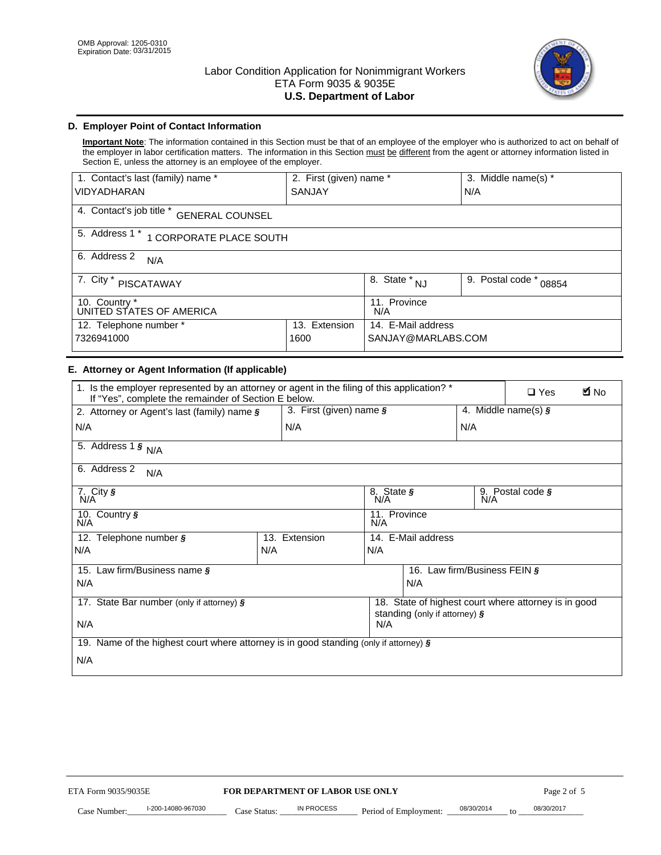

# **D. Employer Point of Contact Information**

**Important Note**: The information contained in this Section must be that of an employee of the employer who is authorized to act on behalf of the employer in labor certification matters. The information in this Section must be different from the agent or attorney information listed in Section E, unless the attorney is an employee of the employer.

| 1. Contact's last (family) name *                  | 2. First (given) name * |                     | 3. Middle name(s) *       |  |
|----------------------------------------------------|-------------------------|---------------------|---------------------------|--|
| <b>VIDYADHARAN</b>                                 | <b>SANJAY</b>           |                     | N/A                       |  |
| 4. Contact's job title *<br><b>GENERAL COUNSEL</b> |                         |                     |                           |  |
| 5. Address 1 *<br>1 CORPORATE PLACE SOUTH          |                         |                     |                           |  |
| 6. Address 2<br>N/A                                |                         |                     |                           |  |
| 7. City *<br><b>PISCATAWAY</b>                     |                         | $8.$ State $N_J$    | 9. Postal code *<br>08854 |  |
| 10. Country *<br>UNITED STATES OF AMERICA          |                         | 11. Province<br>N/A |                           |  |
| 12. Telephone number *<br>Extension<br>13.         |                         | 14. E-Mail address  |                           |  |
| 7326941000<br>1600                                 |                         | SANJAY@MARLABS.COM  |                           |  |

## **E. Attorney or Agent Information (If applicable)**

| VIDYADHARAN                                                                                                                                         | SANJAY                           |                                           |                                          | N/A                          |                                                      |             |
|-----------------------------------------------------------------------------------------------------------------------------------------------------|----------------------------------|-------------------------------------------|------------------------------------------|------------------------------|------------------------------------------------------|-------------|
| 4. Contact's job title * GENERAL COUNSEL                                                                                                            |                                  |                                           |                                          |                              |                                                      |             |
| 5. Address 1 * 1 CORPORATE PLACE SOUTH                                                                                                              |                                  |                                           |                                          |                              |                                                      |             |
| 6. Address 2<br>N/A                                                                                                                                 |                                  |                                           |                                          |                              |                                                      |             |
| 7. City * PISCATAWAY                                                                                                                                |                                  | $\overline{\phantom{a}}$ 8. State $^*$ NJ |                                          | 9. Postal code *             | 08854                                                |             |
| 10. Country *<br>UNITED STATES OF AMERICA                                                                                                           |                                  | 11. Province<br>N/A                       |                                          |                              |                                                      |             |
| 12. Telephone number *<br>7326941000                                                                                                                | 13. Extension<br>1600            |                                           | 14. E-Mail address<br>SANJAY@MARLABS.COM |                              |                                                      |             |
| E. Attorney or Agent Information (If applicable)                                                                                                    |                                  |                                           |                                          |                              |                                                      |             |
| 1. Is the employer represented by an attorney or agent in the filing of this application? *<br>If "Yes", complete the remainder of Section E below. |                                  |                                           |                                          |                              | $\Box$ Yes                                           | <b>A</b> No |
| 2. Attorney or Agent's last (family) name §                                                                                                         | 3. First (given) name §          |                                           |                                          |                              | 4. Middle name(s) $\sqrt{s}$                         |             |
| N/A                                                                                                                                                 | N/A                              |                                           |                                          | N/A                          |                                                      |             |
| 5. Address 1 $\frac{1}{9}$ N/A                                                                                                                      |                                  |                                           |                                          |                              |                                                      |             |
| 6. Address 2<br>N/A                                                                                                                                 |                                  |                                           |                                          |                              |                                                      |             |
| 7. City §<br>N/A                                                                                                                                    |                                  | 8. State §<br>N/A                         |                                          |                              | 9. Postal code §                                     |             |
| 10. Country §<br>N/A                                                                                                                                |                                  | 11. Province<br>N/A                       |                                          |                              |                                                      |             |
| 12. Telephone number §                                                                                                                              | 13. Extension                    | 14. E-Mail address                        |                                          |                              |                                                      |             |
| N/A                                                                                                                                                 | N/A                              | N/A                                       |                                          |                              |                                                      |             |
| 15. Law firm/Business name §                                                                                                                        |                                  |                                           |                                          | 16. Law firm/Business FEIN § |                                                      |             |
| N/A                                                                                                                                                 |                                  |                                           | N/A                                      |                              |                                                      |             |
| 17. State Bar number (only if attorney) §                                                                                                           |                                  |                                           | standing (only if attorney) §            |                              | 18. State of highest court where attorney is in good |             |
| N/A                                                                                                                                                 |                                  | N/A                                       |                                          |                              |                                                      |             |
| 19. Name of the highest court where attorney is in good standing (only if attorney) §                                                               |                                  |                                           |                                          |                              |                                                      |             |
| N/A                                                                                                                                                 |                                  |                                           |                                          |                              |                                                      |             |
|                                                                                                                                                     |                                  |                                           |                                          |                              |                                                      |             |
|                                                                                                                                                     |                                  |                                           |                                          |                              |                                                      |             |
|                                                                                                                                                     |                                  |                                           |                                          |                              |                                                      |             |
|                                                                                                                                                     |                                  |                                           |                                          |                              |                                                      |             |
|                                                                                                                                                     |                                  |                                           |                                          |                              |                                                      |             |
|                                                                                                                                                     |                                  |                                           |                                          |                              |                                                      |             |
|                                                                                                                                                     |                                  |                                           |                                          |                              |                                                      |             |
| ETA Form 9035/9035E                                                                                                                                 | FOR DEPARTMENT OF LABOR USE ONLY |                                           |                                          |                              | Page 2 of 5                                          |             |
| I-200-14080-967030                                                                                                                                  | <b>IN PROCESS</b>                |                                           |                                          | 08/30/2014                   | 08/30/2017                                           |             |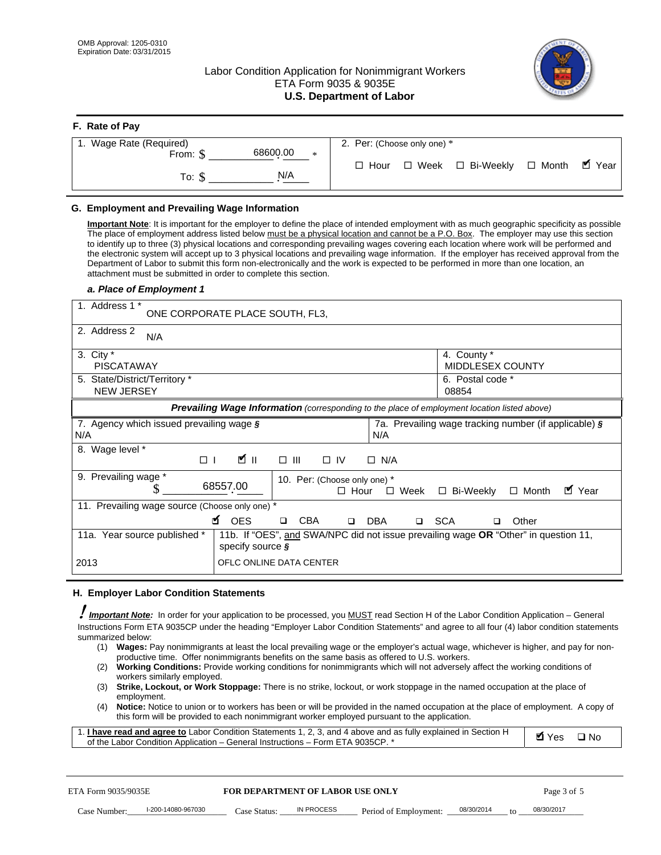# Labor Condition Application for Nonimmigrant Workers ETA Form 9035 & 9035E **U.S. Department of Labor**



| F. Rate of Pay                 |                                                     |
|--------------------------------|-----------------------------------------------------|
| 1. Wage Rate (Required)        | 2. Per: (Choose only one) *                         |
| 68600.00<br>From: \$<br>$\ast$ |                                                     |
| N/A<br>To: \$                  | ■ Year<br>□ Week □ Bi-Weekly □ Month<br>$\Box$ Hour |

## **G. Employment and Prevailing Wage Information**

#### *a. Place of Employment 1*

| From: \$                                                                                                                                                                                                                                                                                                                                                                                                                                                                                                                                                                                                                                                                                                                                                                                                                                                                                | 68600.00<br>$\ast$                                                                                                                                                                                                                                                                                                                                                                                                                                                                                                                                                                                                                                                                                                                | $\Box$ Hour<br>$\Box$ Week                                 | □ Bi-Weekly                                           | $\blacksquare$ Year<br>$\Box$ Month |
|-----------------------------------------------------------------------------------------------------------------------------------------------------------------------------------------------------------------------------------------------------------------------------------------------------------------------------------------------------------------------------------------------------------------------------------------------------------------------------------------------------------------------------------------------------------------------------------------------------------------------------------------------------------------------------------------------------------------------------------------------------------------------------------------------------------------------------------------------------------------------------------------|-----------------------------------------------------------------------------------------------------------------------------------------------------------------------------------------------------------------------------------------------------------------------------------------------------------------------------------------------------------------------------------------------------------------------------------------------------------------------------------------------------------------------------------------------------------------------------------------------------------------------------------------------------------------------------------------------------------------------------------|------------------------------------------------------------|-------------------------------------------------------|-------------------------------------|
| To: $$$                                                                                                                                                                                                                                                                                                                                                                                                                                                                                                                                                                                                                                                                                                                                                                                                                                                                                 | N/A                                                                                                                                                                                                                                                                                                                                                                                                                                                                                                                                                                                                                                                                                                                               |                                                            |                                                       |                                     |
| G. Employment and Prevailing Wage Information<br>Important Note: It is important for the employer to define the place of intended employment with as much geographic specificity as possible<br>The place of employment address listed below must be a physical location and cannot be a P.O. Box. The employer may use this section<br>to identify up to three (3) physical locations and corresponding prevailing wages covering each location where work will be performed and<br>the electronic system will accept up to 3 physical locations and prevailing wage information. If the employer has received approval from the<br>Department of Labor to submit this form non-electronically and the work is expected to be performed in more than one location, an<br>attachment must be submitted in order to complete this section.<br>a. Place of Employment 1<br>1. Address 1 * | ONE CORPORATE PLACE SOUTH, FL3,                                                                                                                                                                                                                                                                                                                                                                                                                                                                                                                                                                                                                                                                                                   |                                                            |                                                       |                                     |
| 2. Address 2<br>N/A<br>3. City $*$<br><b>PISCATAWAY</b>                                                                                                                                                                                                                                                                                                                                                                                                                                                                                                                                                                                                                                                                                                                                                                                                                                 |                                                                                                                                                                                                                                                                                                                                                                                                                                                                                                                                                                                                                                                                                                                                   |                                                            | 4. County *<br>MIDDLESEX COUNTY                       |                                     |
| 5. State/District/Territory *<br><b>NEW JERSEY</b>                                                                                                                                                                                                                                                                                                                                                                                                                                                                                                                                                                                                                                                                                                                                                                                                                                      |                                                                                                                                                                                                                                                                                                                                                                                                                                                                                                                                                                                                                                                                                                                                   |                                                            | 6. Postal code *<br>08854                             |                                     |
|                                                                                                                                                                                                                                                                                                                                                                                                                                                                                                                                                                                                                                                                                                                                                                                                                                                                                         | Prevailing Wage Information (corresponding to the place of employment location listed above)                                                                                                                                                                                                                                                                                                                                                                                                                                                                                                                                                                                                                                      |                                                            |                                                       |                                     |
| 7. Agency which issued prevailing wage §<br>N/A                                                                                                                                                                                                                                                                                                                                                                                                                                                                                                                                                                                                                                                                                                                                                                                                                                         |                                                                                                                                                                                                                                                                                                                                                                                                                                                                                                                                                                                                                                                                                                                                   | N/A                                                        | 7a. Prevailing wage tracking number (if applicable) § |                                     |
| 8. Wage level *<br>$\Box$                                                                                                                                                                                                                                                                                                                                                                                                                                                                                                                                                                                                                                                                                                                                                                                                                                                               | <b>M</b><br>$\Box$<br>III                                                                                                                                                                                                                                                                                                                                                                                                                                                                                                                                                                                                                                                                                                         | $\Box$ IV<br>$\Box$ N/A                                    |                                                       |                                     |
| 9. Prevailing wage *<br>\$                                                                                                                                                                                                                                                                                                                                                                                                                                                                                                                                                                                                                                                                                                                                                                                                                                                              | 68557.00                                                                                                                                                                                                                                                                                                                                                                                                                                                                                                                                                                                                                                                                                                                          | 10. Per: (Choose only one) *<br>$\Box$ Hour<br>$\Box$ Week | □ Bi-Weekly                                           | ■ Year<br>$\Box$ Month              |
| 11. Prevailing wage source (Choose only one) *                                                                                                                                                                                                                                                                                                                                                                                                                                                                                                                                                                                                                                                                                                                                                                                                                                          | <b>¤</b> OES<br><b>CBA</b>                                                                                                                                                                                                                                                                                                                                                                                                                                                                                                                                                                                                                                                                                                        | <b>DBA</b><br>□ SCA<br>$\Box$                              | □                                                     | Other                               |
| 11a. Year source published *                                                                                                                                                                                                                                                                                                                                                                                                                                                                                                                                                                                                                                                                                                                                                                                                                                                            | 11b. If "OES", and SWA/NPC did not issue prevailing wage OR "Other" in question 11,<br>specify source $\boldsymbol{\S}$                                                                                                                                                                                                                                                                                                                                                                                                                                                                                                                                                                                                           |                                                            |                                                       |                                     |
| 2013                                                                                                                                                                                                                                                                                                                                                                                                                                                                                                                                                                                                                                                                                                                                                                                                                                                                                    | OFLC ONLINE DATA CENTER                                                                                                                                                                                                                                                                                                                                                                                                                                                                                                                                                                                                                                                                                                           |                                                            |                                                       |                                     |
| H. Employer Labor Condition Statements<br>I Important Note: In order for your application to be processed, you MUST read Section H of the Labor Condition Application – General<br>Instructions Form ETA 9035CP under the heading "Employer Labor Condition Statements" and agree to all four (4) labor condition statements<br>summarized below:<br>(2)<br>workers similarly employed.<br>(3)<br>employment.<br>(4)<br>1. I have read and agree to Labor Condition Statements 1, 2, 3, and 4 above and as fully explained in Section H<br>of the Labor Condition Application - General Instructions - Form ETA 9035CP. *                                                                                                                                                                                                                                                               | (1) Wages: Pay nonimmigrants at least the local prevailing wage or the employer's actual wage, whichever is higher, and pay for non-<br>productive time. Offer nonimmigrants benefits on the same basis as offered to U.S. workers.<br>Working Conditions: Provide working conditions for nonimmigrants which will not adversely affect the working conditions of<br>Strike, Lockout, or Work Stoppage: There is no strike, lockout, or work stoppage in the named occupation at the place of<br>Notice: Notice to union or to workers has been or will be provided in the named occupation at the place of employment. A copy of<br>this form will be provided to each nonimmigrant worker employed pursuant to the application. |                                                            |                                                       | <b>Ø</b> Yes<br>$\square$ No        |
|                                                                                                                                                                                                                                                                                                                                                                                                                                                                                                                                                                                                                                                                                                                                                                                                                                                                                         |                                                                                                                                                                                                                                                                                                                                                                                                                                                                                                                                                                                                                                                                                                                                   |                                                            |                                                       |                                     |
| ETA Form 9035/9035E                                                                                                                                                                                                                                                                                                                                                                                                                                                                                                                                                                                                                                                                                                                                                                                                                                                                     | <b>FOR DEPARTMENT OF LABOR USE ONLY</b>                                                                                                                                                                                                                                                                                                                                                                                                                                                                                                                                                                                                                                                                                           |                                                            |                                                       | Page 3 of 5                         |

#### **H. Employer Labor Condition Statements**

- (1) **Wages:** Pay nonimmigrants at least the local prevailing wage or the employer's actual wage, whichever is higher, and pay for nonproductive time. Offer nonimmigrants benefits on the same basis as offered to U.S. workers.
- (2) **Working Conditions:** Provide working conditions for nonimmigrants which will not adversely affect the working conditions of workers similarly employed.
- (3) **Strike, Lockout, or Work Stoppage:** There is no strike, lockout, or work stoppage in the named occupation at the place of employment.
- (4) **Notice:** Notice to union or to workers has been or will be provided in the named occupation at the place of employment. A copy of this form will be provided to each nonimmigrant worker employed pursuant to the application.

| 1. I have read and agree to Labor Condition Statements 1, 2, 3, and 4 above and as fully explained in Section H | Øl Yes | $\Box$ No |
|-----------------------------------------------------------------------------------------------------------------|--------|-----------|
| of the Labor Condition Application – General Instructions – Form ETA 9035CP. *                                  |        |           |

| ETA Form 9035/9035E |                    | <b>FOR DEPARTMENT OF LABOR USE ONLY</b> |            |                       | Page 3 of 5 |    |            |
|---------------------|--------------------|-----------------------------------------|------------|-----------------------|-------------|----|------------|
| Case Number:        | I-200-14080-967030 | Case Status:                            | IN PROCESS | Period of Employment: | 08/30/2014  | tΩ | 08/30/2017 |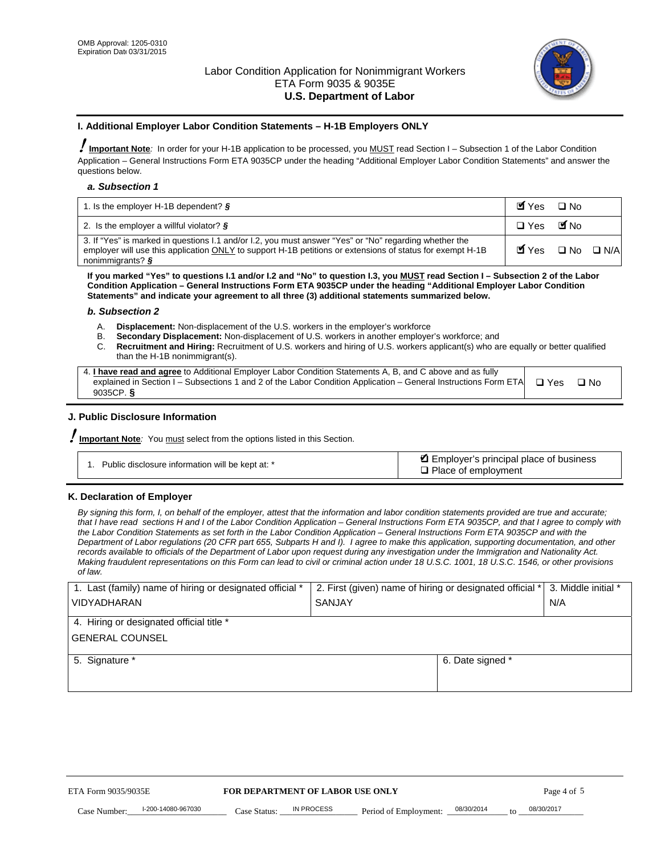

#### **I. Additional Employer Labor Condition Statements – H-1B Employers ONLY**

!**Important Note***:* In order for your H-1B application to be processed, you MUST read Section I – Subsection 1 of the Labor Condition Application – General Instructions Form ETA 9035CP under the heading "Additional Employer Labor Condition Statements" and answer the questions below.

#### *a. Subsection 1*

| 1. Is the employer H-1B dependent? $\S$                                                                                                                                                                                                 | Myes                                          | $\Box$ No              |  |
|-----------------------------------------------------------------------------------------------------------------------------------------------------------------------------------------------------------------------------------------|-----------------------------------------------|------------------------|--|
| 2. Is the employer a willful violator? $\frac{1}{2}$                                                                                                                                                                                    | $\Box$ Yes                                    | <b>M</b> <sub>No</sub> |  |
| 3. If "Yes" is marked in questions 1.1 and/or 1.2, you must answer "Yes" or "No" regarding whether the<br>employer will use this application ONLY to support H-1B petitions or extensions of status for exempt H-1B<br>nonimmigrants? § | $\blacksquare$ Yes $\square$ No $\square$ N/A |                        |  |

**If you marked "Yes" to questions I.1 and/or I.2 and "No" to question I.3, you MUST read Section I – Subsection 2 of the Labor Condition Application – General Instructions Form ETA 9035CP under the heading "Additional Employer Labor Condition Statements" and indicate your agreement to all three (3) additional statements summarized below.** 

#### *b. Subsection 2*

- A. **Displacement:** Non-displacement of the U.S. workers in the employer's workforce
- B. **Secondary Displacement:** Non-displacement of U.S. workers in another employer's workforce; and
- C. **Recruitment and Hiring:** Recruitment of U.S. workers and hiring of U.S. workers applicant(s) who are equally or better qualified than the H-1B nonimmigrant(s).

| 4. I have read and agree to Additional Employer Labor Condition Statements A, B, and C above and as fully                  |      |
|----------------------------------------------------------------------------------------------------------------------------|------|
| explained in Section I – Subsections 1 and 2 of the Labor Condition Application – General Instructions Form ETA $\Box$ Yes | ∩ Nח |
| 9035CP. $\delta$                                                                                                           |      |

# **J. Public Disclosure Information**

!**Important Note***:* You must select from the options listed in this Section.

| Public disclosure information will be kept at: * | Employer's principal place of business<br>$\Box$ Place of employment |
|--------------------------------------------------|----------------------------------------------------------------------|
|--------------------------------------------------|----------------------------------------------------------------------|

#### **K. Declaration of Employer**

*By signing this form, I, on behalf of the employer, attest that the information and labor condition statements provided are true and accurate;*  that I have read sections H and I of the Labor Condition Application – General Instructions Form ETA 9035CP, and that I agree to comply with *the Labor Condition Statements as set forth in the Labor Condition Application – General Instructions Form ETA 9035CP and with the Department of Labor regulations (20 CFR part 655, Subparts H and I). I agree to make this application, supporting documentation, and other records available to officials of the Department of Labor upon request during any investigation under the Immigration and Nationality Act. Making fraudulent representations on this Form can lead to civil or criminal action under 18 U.S.C. 1001, 18 U.S.C. 1546, or other provisions of law.* 

| 1. Last (family) name of hiring or designated official *               | 2. First (given) name of hiring or designated official * | 3. Middle initial *               |            |
|------------------------------------------------------------------------|----------------------------------------------------------|-----------------------------------|------------|
| <b>VIDYADHARAN</b>                                                     | <b>SANJAY</b>                                            | N/A                               |            |
| 4. Hiring or designated official title *                               |                                                          |                                   |            |
| <b>GENERAL COUNSEL</b>                                                 |                                                          |                                   |            |
| 5. Signature *                                                         |                                                          | 6. Date signed *                  |            |
|                                                                        |                                                          |                                   |            |
|                                                                        |                                                          |                                   |            |
|                                                                        |                                                          |                                   |            |
|                                                                        |                                                          |                                   |            |
|                                                                        |                                                          |                                   |            |
| FOR DEPARTMENT OF LABOR USE ONLY<br>ETA Form 9035/9035E<br>Page 4 of 5 |                                                          |                                   |            |
| I-200-14080-967030<br>Case Number<br>Case Status:                      | IN PROCESS<br>Period of Employment:                      | 08/30/2014<br>$\mathsf{t} \alpha$ | 08/30/2017 |